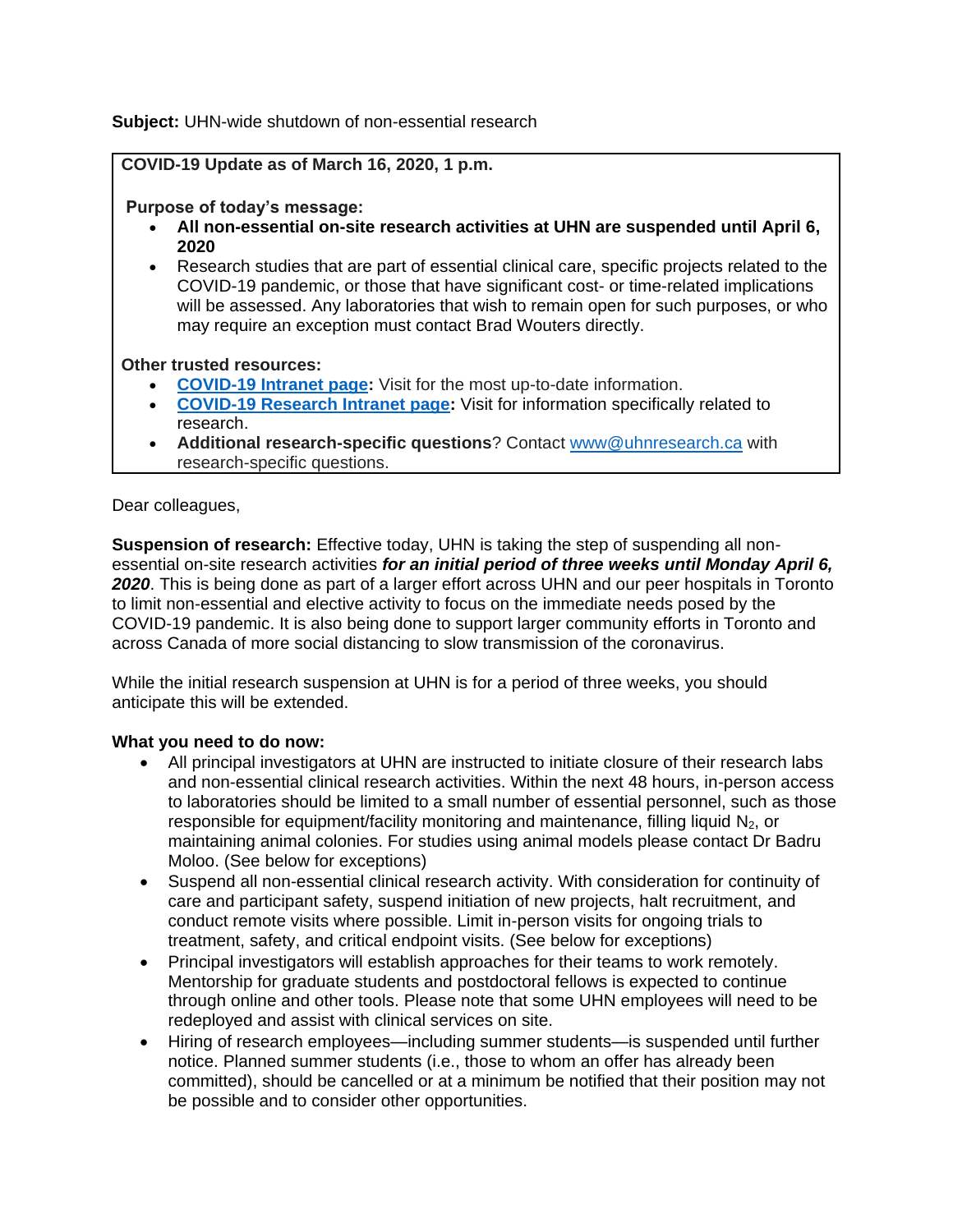**Subject:** UHN-wide shutdown of non-essential research

### **COVID-19 Update as of March 16, 2020, 1 p.m.**

## **Purpose of today's message:**

- **All non-essential on-site research activities at UHN are suspended until April 6, 2020**
- Research studies that are part of essential clinical care, specific projects related to the COVID-19 pandemic, or those that have significant cost- or time-related implications will be assessed. Any laboratories that wish to remain open for such purposes, or who may require an exception must contact Brad Wouters directly.

#### **Other trusted resources:**

- **[COVID-19 Intranet page:](http://intranet.uhn.ca/departments/infection_control/covid-19/index.asp)** Visit for the most up-to-date information.
- **[COVID-19 Research Intranet page:](http://intranet.uhnresearch.ca/news/covid-19-preparedness)** Visit for information specifically related to research.
- **Additional research-specific questions**? Contact [www@uhnresearch.ca](mailto:www@uhnresearch.ca) with research-specific questions.

#### Dear colleagues,

**Suspension of research:** Effective today, UHN is taking the step of suspending all nonessential on-site research activities *for an initial period of three weeks until Monday April 6, 2020*. This is being done as part of a larger effort across UHN and our peer hospitals in Toronto to limit non-essential and elective activity to focus on the immediate needs posed by the COVID-19 pandemic. It is also being done to support larger community efforts in Toronto and across Canada of more social distancing to slow transmission of the coronavirus.

While the initial research suspension at UHN is for a period of three weeks, you should anticipate this will be extended.

# **What you need to do now:**

- All principal investigators at UHN are instructed to initiate closure of their research labs and non-essential clinical research activities. Within the next 48 hours, in-person access to laboratories should be limited to a small number of essential personnel, such as those responsible for equipment/facility monitoring and maintenance, filling liquid  $N_2$ , or maintaining animal colonies. For studies using animal models please contact Dr Badru Moloo. (See below for exceptions)
- Suspend all non-essential clinical research activity. With consideration for continuity of care and participant safety, suspend initiation of new projects, halt recruitment, and conduct remote visits where possible. Limit in-person visits for ongoing trials to treatment, safety, and critical endpoint visits. (See below for exceptions)
- Principal investigators will establish approaches for their teams to work remotely. Mentorship for graduate students and postdoctoral fellows is expected to continue through online and other tools. Please note that some UHN employees will need to be redeployed and assist with clinical services on site.
- Hiring of research employees—including summer students—is suspended until further notice. Planned summer students (i.e., those to whom an offer has already been committed), should be cancelled or at a minimum be notified that their position may not be possible and to consider other opportunities.